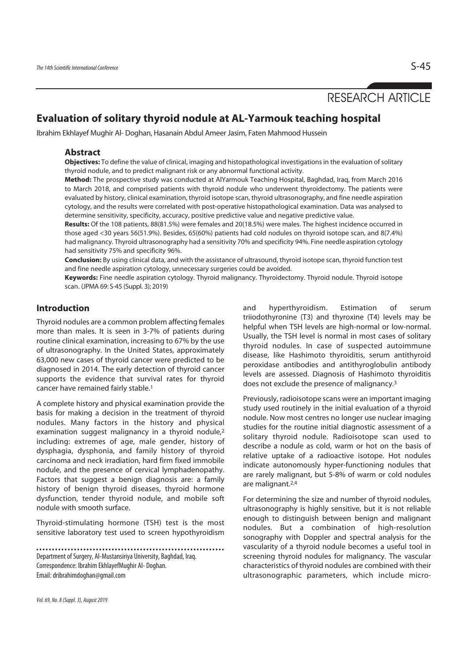RESEARCH ARTICLE

# **Evaluation of solitary thyroid nodule at AL-Yarmouk teaching hospital**

Ibrahim Ekhlayef Mughir Al- Doghan, Hasanain Abdul Ameer Jasim, Faten Mahmood Hussein

# **Abstract**

**Objectives:** To define the value of clinical, imaging and histopathological investigations in the evaluation of solitary thyroid nodule, and to predict malignant risk or any abnormal functional activity.

**Method:** The prospective study was conducted at AlYarmouk Teaching Hospital, Baghdad, Iraq, from March 2016 to March 2018, and comprised patients with thyroid nodule who underwent thyroidectomy. The patients were evaluated by history, clinical examination, thyroid isotope scan, thyroid ultrasonography, and fine needle aspiration cytology, and the results were correlated with post-operative histopathological examination. Data was analysed to determine sensitivity, specificity, accuracy, positive predictive value and negative predictive value.

**Results:** Of the 108 patients, 88(81.5%) were females and 20(18.5%) were males. The highest incidence occurred in those aged <30 years 56(51.9%). Besides, 65(60%) patients had cold nodules on thyroid isotope scan, and 8(7.4%) had malignancy. Thyroid ultrasonography had a sensitivity 70% and specificity 94%. Fine needle aspiration cytology had sensitivity 75% and specificity 96%.

**Conclusion:** By using clinical data, and with the assistance of ultrasound, thyroid isotope scan, thyroid function test and fine needle aspiration cytology, unnecessary surgeries could be avoided.

**Keywords:** Fine needle aspiration cytology. Thyroid malignancy. Thyroidectomy. Thyroid nodule. Thyroid isotope scan. (JPMA 69: S-45 (Suppl. 3); 2019)

# **Introduction**

Thyroid nodules are a common problem affecting females more than males. It is seen in 3-7% of patients during routine clinical examination, increasing to 67% by the use of ultrasonography. In the United States, approximately 63,000 new cases of thyroid cancer were predicted to be diagnosed in 2014. The early detection of thyroid cancer supports the evidence that survival rates for thyroid cancer have remained fairly stable.1

A complete history and physical examination provide the basis for making a decision in the treatment of thyroid nodules. Many factors in the history and physical examination suggest malignancy in a thyroid nodule,<sup>2</sup> including: extremes of age, male gender, history of dysphagia, dysphonia, and family history of thyroid carcinoma and neck irradiation, hard firm fixed immobile nodule, and the presence of cervical lymphadenopathy. Factors that suggest a benign diagnosis are: a family history of benign thyroid diseases, thyroid hormone dysfunction, tender thyroid nodule, and mobile soft nodule with smooth surface.

Thyroid-stimulating hormone (TSH) test is the most sensitive laboratory test used to screen hypothyroidism

Department of Surgery, Al-Mustansiriya University, Baghdad, Iraq. Correspondence: Ibrahim EkhlayefMughir Al- Doghan. Email: dribrahimdoghan@gmail.com

and hyperthyroidism. Estimation of serum triiodothyronine (T3) and thyroxine (T4) levels may be helpful when TSH levels are high-normal or low-normal. Usually, the TSH level is normal in most cases of solitary thyroid nodules. In case of suspected autoimmune disease, like Hashimoto thyroiditis, serum antithyroid peroxidase antibodies and antithyroglobulin antibody levels are assessed. Diagnosis of Hashimoto thyroiditis does not exclude the presence of malignancy.3

Previously, radioisotope scans were an important imaging study used routinely in the initial evaluation of a thyroid nodule. Now most centres no longer use nuclear imaging studies for the routine initial diagnostic assessment of a solitary thyroid nodule. Radioisotope scan used to describe a nodule as cold, warm or hot on the basis of relative uptake of a radioactive isotope. Hot nodules indicate autonomously hyper-functioning nodules that are rarely malignant, but 5-8% of warm or cold nodules are malignant.2,4

For determining the size and number of thyroid nodules, ultrasonography is highly sensitive, but it is not reliable enough to distinguish between benign and malignant nodules. But a combination of high-resolution sonography with Doppler and spectral analysis for the vascularity of a thyroid nodule becomes a useful tool in screening thyroid nodules for malignancy. The vascular characteristics of thyroid nodules are combined with their ultrasonographic parameters, which include micro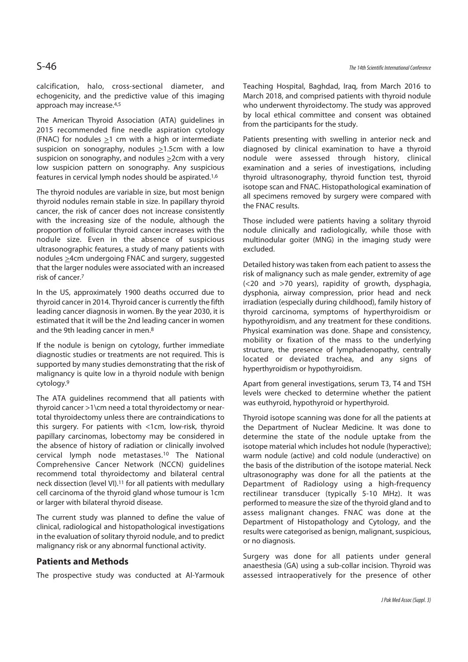calcification, halo, cross-sectional diameter, and echogenicity, and the predictive value of this imaging approach may increase.4,5

The American Thyroid Association (ATA) guidelines in 2015 recommended fine needle aspiration cytology (FNAC) for nodules  $\geq$ 1 cm with a high or intermediate suspicion on sonography, nodules  $\geq$ 1.5cm with a low suspicion on sonography, and nodules  $\geq$ 2cm with a very low suspicion pattern on sonography. Any suspicious features in cervical lymph nodes should be aspirated.1,6

The thyroid nodules are variable in size, but most benign thyroid nodules remain stable in size. In papillary thyroid cancer, the risk of cancer does not increase consistently with the increasing size of the nodule, although the proportion of follicular thyroid cancer increases with the nodule size. Even in the absence of suspicious ultrasonographic features, a study of many patients with nodules >4cm undergoing FNAC and surgery, suggested that the larger nodules were associated with an increased risk of cancer.7

In the US, approximately 1900 deaths occurred due to thyroid cancer in 2014. Thyroid cancer is currently the fifth leading cancer diagnosis in women. By the year 2030, it is estimated that it will be the 2nd leading cancer in women and the 9th leading cancer in men.8

If the nodule is benign on cytology, further immediate diagnostic studies or treatments are not required. This is supported by many studies demonstrating that the risk of malignancy is quite low in a thyroid nodule with benign cytology.9

The ATA guidelines recommend that all patients with thyroid cancer >1\cm need a total thyroidectomy or neartotal thyroidectomy unless there are contraindications to this surgery. For patients with <1cm, low-risk, thyroid papillary carcinomas, lobectomy may be considered in the absence of history of radiation or clinically involved cervical lymph node metastases.10 The National Comprehensive Cancer Network (NCCN) guidelines recommend total thyroidectomy and bilateral central neck dissection (level VI).11 for all patients with medullary cell carcinoma of the thyroid gland whose tumour is 1cm or larger with bilateral thyroid disease.

The current study was planned to define the value of clinical, radiological and histopathological investigations in the evaluation of solitary thyroid nodule, and to predict malignancy risk or any abnormal functional activity.

# **Patients and Methods**

The prospective study was conducted at Al-Yarmouk

Teaching Hospital, Baghdad, Iraq, from March 2016 to March 2018, and comprised patients with thyroid nodule who underwent thyroidectomy. The study was approved by local ethical committee and consent was obtained from the participants for the study.

Patients presenting with swelling in anterior neck and diagnosed by clinical examination to have a thyroid nodule were assessed through history, clinical examination and a series of investigations, including thyroid ultrasonography, thyroid function test, thyroid isotope scan and FNAC. Histopathological examination of all specimens removed by surgery were compared with the FNAC results.

Those included were patients having a solitary thyroid nodule clinically and radiologically, while those with multinodular goiter (MNG) in the imaging study were excluded.

Detailed history was taken from each patient to assess the risk of malignancy such as male gender, extremity of age (<20 and >70 years), rapidity of growth, dysphagia, dysphonia, airway compression, prior head and neck irradiation (especially during childhood), family history of thyroid carcinoma, symptoms of hyperthyroidism or hypothyroidism, and any treatment for these conditions. Physical examination was done. Shape and consistency, mobility or fixation of the mass to the underlying structure, the presence of lymphadenopathy, centrally located or deviated trachea, and any signs of hyperthyroidism or hypothyroidism.

Apart from general investigations, serum T3, T4 and TSH levels were checked to determine whether the patient was euthyroid, hypothyroid or hyperthyroid.

Thyroid isotope scanning was done for all the patients at the Department of Nuclear Medicine. It was done to determine the state of the nodule uptake from the isotope material which includes hot nodule (hyperactive); warm nodule (active) and cold nodule (underactive) on the basis of the distribution of the isotope material. Neck ultrasonography was done for all the patients at the Department of Radiology using a high-frequency rectilinear transducer (typically 5-10 MHz). It was performed to measure the size of the thyroid gland and to assess malignant changes. FNAC was done at the Department of Histopathology and Cytology, and the results were categorised as benign, malignant, suspicious, or no diagnosis.

Surgery was done for all patients under general anaesthesia (GA) using a sub-collar incision. Thyroid was assessed intraoperatively for the presence of other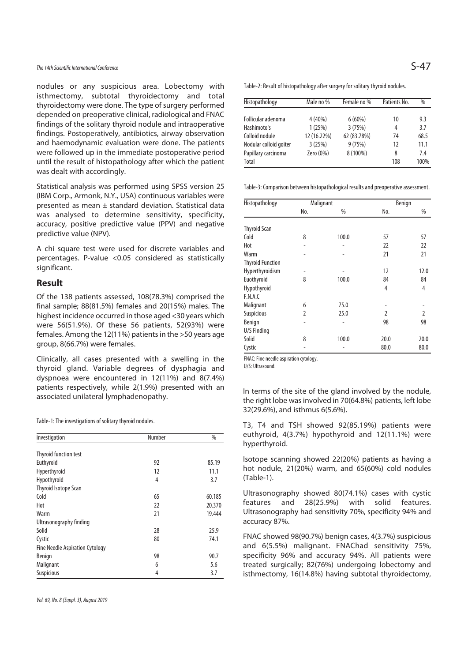# The 14th Scientific International Conference  $S-47$

nodules or any suspicious area. Lobectomy with isthmectomy, subtotal thyroidectomy and total thyroidectomy were done. The type of surgery performed depended on preoperative clinical, radiological and FNAC findings of the solitary thyroid nodule and intraoperative findings. Postoperatively, antibiotics, airway observation and haemodynamic evaluation were done. The patients were followed up in the immediate postoperative period until the result of histopathology after which the patient was dealt with accordingly.

Statistical analysis was performed using SPSS version 25 (IBM Corp., Armonk, N.Y., USA) continuous variables were presented as mean ± standard deviation. Statistical data was analysed to determine sensitivity, specificity, accuracy, positive predictive value (PPV) and negative predictive value (NPV).

A chi square test were used for discrete variables and percentages. P-value <0.05 considered as statistically significant.

## **Result**

Of the 138 patients assessed, 108(78.3%) comprised the final sample; 88(81.5%) females and 20(15%) males. The highest incidence occurred in those aged <30 years which were 56(51.9%). Of these 56 patients, 52(93%) were females. Among the 12(11%) patients in the >50 years age group, 8(66.7%) were females.

Clinically, all cases presented with a swelling in the thyroid gland. Variable degrees of dysphagia and dyspnoea were encountered in 12(11%) and 8(7.4%) patients respectively, while 2(1.9%) presented with an patients respectively, while  $2(1.9\%)$  presented with an Interms of the site of the gland involved by the nodule,<br>associated unilateral lymphadenopathy.

Table-1: The investigations of solitary thyroid nodules.

| investigation                          | Number | %      |
|----------------------------------------|--------|--------|
| <b>Thyroid function test</b>           |        |        |
| Euthyroid                              | 92     | 85.19  |
| Hyperthyroid                           | 12     | 11.1   |
| Hypothyroid                            | 4      | 3.7    |
| Thyroid Isotope Scan                   |        |        |
| Cold                                   | 65     | 60.185 |
| Hot                                    | 22     | 20.370 |
| Warm                                   | 21     | 19.444 |
| Ultrasonography finding                |        |        |
| Solid                                  | 28     | 25.9   |
| Cystic                                 | 80     | 74.1   |
| <b>Fine Needle Aspiration Cytology</b> |        |        |
| <b>Benign</b>                          | 98     | 90.7   |
| Malignant                              | 6      | 5.6    |
| Suspicious                             | 4      | 3.7    |

Table-2: Result of histopathology after surgery for solitary thyroid nodules.

| Histopathology         | Male no %   | Female no % | Patients No. | $\%$ |
|------------------------|-------------|-------------|--------------|------|
|                        |             |             |              |      |
| Follicular adenoma     | 4 (40%)     | $6(60\%)$   | 10           | 9.3  |
| Hashimoto's            | 1(25%)      | 3(75%)      | 4            | 3.7  |
| Colloid nodule         | 12 (16.22%) | 62 (83.78%) | 74           | 68.5 |
| Nodular colloid goiter | 3(25%)      | 9(75%)      | 12           | 11.1 |
| Papillary carcinoma    | Zero (0%)   | 8 (100%)    | 8            | 7.4  |
| <b>Total</b>           |             |             | 108          | 100% |

Table-3: Comparison between histopathological results and preoperative assessment.

| Histopathology          |     | Malignant | Benign         |                |
|-------------------------|-----|-----------|----------------|----------------|
|                         | No. | %         | No.            | %              |
| <b>Thyroid Scan</b>     |     |           |                |                |
| Cold                    | 8   | 100.0     |                |                |
|                         |     |           | 57             | 57             |
| Hot                     |     |           | 22             | 22             |
| Warm                    |     |           | 21             | 21             |
| <b>Thyroid Function</b> |     |           |                |                |
| Hyperthyroidism         |     |           | 12             | 12.0           |
| Euothyroid              | 8   | 100.0     | 84             | 84             |
| Hypothyroid             |     |           | 4              | 4              |
| F.N.A.C                 |     |           |                |                |
| Malignant               | 6   | 75.0      |                |                |
| <b>Suspicious</b>       | 2   | 25.0      | $\overline{2}$ | $\overline{2}$ |
| Benign                  |     |           | 98             | 98             |
| U/S Finding             |     |           |                |                |
| Solid                   | 8   | 100.0     | 20.0           | 20.0           |
| Cystic                  |     | ۰         | 80.0           | 80.0           |

FNAC: Fine needle aspiration cytology.

U/S: Ultrasound.

the right lobe was involved in 70(64.8%) patients, left lobe 32(29.6%), and isthmus 6(5.6%).

T3, T4 and TSH showed 92(85.19%) patients were euthyroid, 4(3.7%) hypothyroid and 12(11.1%) were hyperthyroid.

Isotope scanning showed 22(20%) patients as having a hot nodule, 21(20%) warm, and 65(60%) cold nodules (Table-1).

Ultrasonography showed 80(74.1%) cases with cystic features and 28(25.9%) with solid features. Ultrasonography had sensitivity 70%, specificity 94% and accuracy 87%.

FNAC showed 98(90.7%) benign cases, 4(3.7%) suspicious and 6(5.5%) malignant. FNAChad sensitivity 75%, specificity 96% and accuracy 94%. All patients were treated surgically; 82(76%) undergoing lobectomy and isthmectomy, 16(14.8%) having subtotal thyroidectomy,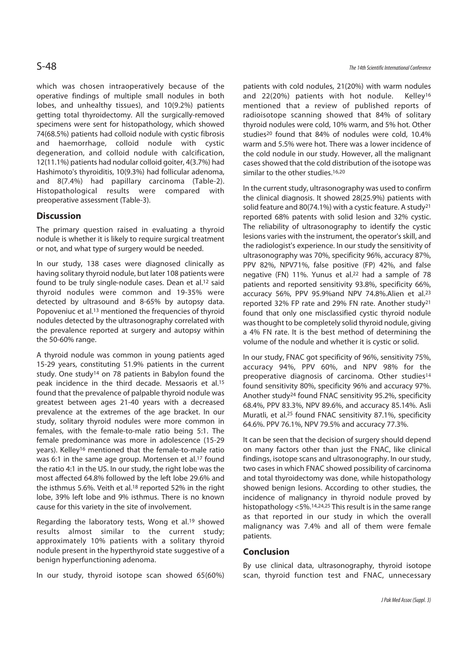which was chosen intraoperatively because of the operative findings of multiple small nodules in both lobes, and unhealthy tissues), and 10(9.2%) patients getting total thyroidectomy. All the surgically-removed specimens were sent for histopathology, which showed 74(68.5%) patients had colloid nodule with cystic fibrosis and haemorrhage, colloid nodule with cystic degeneration, and colloid nodule with calcification, 12(11.1%) patients had nodular colloid goiter, 4(3.7%) had Hashimoto's thyroiditis, 10(9.3%) had follicular adenoma, and 8(7.4%) had papillary carcinoma (Table-2). Histopathological results were compared with preoperative assessment (Table-3).

# **Discussion**

The primary question raised in evaluating a thyroid nodule is whether it is likely to require surgical treatment or not, and what type of surgery would be needed.

In our study, 138 cases were diagnosed clinically as having solitary thyroid nodule, but later 108 patients were found to be truly single-nodule cases. Dean et al.12 said thyroid nodules were common and 19-35% were detected by ultrasound and 8-65% by autopsy data. Popoveniuc et al.13 mentioned the frequencies of thyroid nodules detected by the ultrasonography correlated with the prevalence reported at surgery and autopsy within the 50-60% range.

A thyroid nodule was common in young patients aged 15-29 years, constituting 51.9% patients in the current study. One study14 on 78 patients in Babylon found the peak incidence in the third decade. Messaoris et al.15 found that the prevalence of palpable thyroid nodule was greatest between ages 21-40 years with a decreased prevalence at the extremes of the age bracket. In our study, solitary thyroid nodules were more common in females, with the female-to-male ratio being 5:1. The female predominance was more in adolescence (15-29 years). Kelley16 mentioned that the female-to-male ratio was 6:1 in the same age group. Mortensen et al.<sup>17</sup> found the ratio 4:1 in the US. In our study, the right lobe was the most affected 64.8% followed by the left lobe 29.6% and the isthmus 5.6%. Veith et al.18 reported 52% in the right lobe, 39% left lobe and 9% isthmus. There is no known cause for this variety in the site of involvement.

Regarding the laboratory tests, Wong et al.19 showed results almost similar to the current study; approximately 10% patients with a solitary thyroid nodule present in the hyperthyroid state suggestive of a benign hyperfunctioning adenoma.

In our study, thyroid isotope scan showed 65(60%)

S-48 The 14th Scientific International Conference

patients with cold nodules, 21(20%) with warm nodules and 22(20%) patients with hot nodule. Kelley<sup>16</sup> mentioned that a review of published reports of radioisotope scanning showed that 84% of solitary thyroid nodules were cold, 10% warm, and 5% hot. Other studies20 found that 84% of nodules were cold, 10.4% warm and 5.5% were hot. There was a lower incidence of the cold nodule in our study. However, all the malignant cases showed that the cold distribution of the isotope was similar to the other studies.<sup>16,20</sup>

In the current study, ultrasonography was used to confirm the clinical diagnosis. It showed 28(25.9%) patients with solid feature and 80(74.1%) with a cystic feature. A study21 reported 68% patents with solid lesion and 32% cystic. The reliability of ultrasonography to identify the cystic lesions varies with the instrument, the operator's skill, and the radiologist's experience. In our study the sensitivity of ultrasonography was 70%, specificity 96%, accuracy 87%, PPV 82%, NPV71%, false positive (FP) 42%, and false negative (FN) 11%. Yunus et al.22 had a sample of 78 patients and reported sensitivity 93.8%, specificity 66%, accuracy 56%, PPV 95.9%and NPV 74.8%.Alien et al.23 reported 32% FP rate and 29% FN rate. Another study21 found that only one misclassified cystic thyroid nodule was thought to be completely solid thyroid nodule, giving a 4% FN rate. It is the best method of determining the volume of the nodule and whether it is cystic or solid.

In our study, FNAC got specificity of 96%, sensitivity 75%, accuracy 94%, PPV 60%, and NPV 98% for the preoperative diagnosis of carcinoma. Other studies<sup>14</sup> found sensitivity 80%, specificity 96% and accuracy 97%. Another study24 found FNAC sensitivity 95.2%, specificity 68.4%, PPV 83.3%, NPV 89.6%, and accuracy 85.14%. Asli Muratli, et al.25 found FNAC sensitivity 87.1%, specificity 64.6%. PPV 76.1%, NPV 79.5% and accuracy 77.3%.

It can be seen that the decision of surgery should depend on many factors other than just the FNAC, like clinical findings, isotope scans and ultrasonography. In our study, two cases in which FNAC showed possibility of carcinoma and total thyroidectomy was done, while histopathology showed benign lesions. According to other studies, the incidence of malignancy in thyroid nodule proved by histopathology <5%.14,24,25 This result is in the same range as that reported in our study in which the overall malignancy was 7.4% and all of them were female patients.

# **Conclusion**

By use clinical data, ultrasonography, thyroid isotope scan, thyroid function test and FNAC, unnecessary